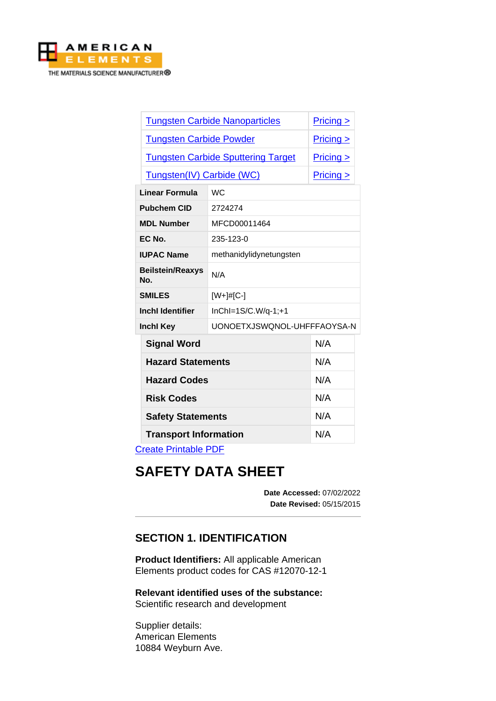

| <b>Tungsten Carbide Nanoparticles</b><br>$Pricing \ge$<br><b>Tungsten Carbide Powder</b><br>$Pricing \ge$<br><b>Tungsten Carbide Sputtering Target</b><br>$Pricing \ge$<br>Tungsten(IV) Carbide (WC)<br>$Pricing \ge$<br><b>WC</b><br>2724274<br>MFCD00011464<br>235-123-0<br>methanidylidynetungsten<br>N/A<br>[W+]#[C-]<br>InChI=1S/C.W/q-1;+1<br>N/A<br><b>Signal Word</b><br>N/A<br><b>Hazard Statements</b><br>N/A<br><b>Hazard Codes</b><br>N/A<br><b>Risk Codes</b><br>N/A<br><b>Safety Statements</b> |                                |                             |     |
|---------------------------------------------------------------------------------------------------------------------------------------------------------------------------------------------------------------------------------------------------------------------------------------------------------------------------------------------------------------------------------------------------------------------------------------------------------------------------------------------------------------|--------------------------------|-----------------------------|-----|
|                                                                                                                                                                                                                                                                                                                                                                                                                                                                                                               |                                |                             |     |
|                                                                                                                                                                                                                                                                                                                                                                                                                                                                                                               |                                |                             |     |
|                                                                                                                                                                                                                                                                                                                                                                                                                                                                                                               |                                |                             |     |
|                                                                                                                                                                                                                                                                                                                                                                                                                                                                                                               |                                |                             |     |
|                                                                                                                                                                                                                                                                                                                                                                                                                                                                                                               | Linear Formula                 |                             |     |
|                                                                                                                                                                                                                                                                                                                                                                                                                                                                                                               | <b>Pubchem CID</b>             |                             |     |
|                                                                                                                                                                                                                                                                                                                                                                                                                                                                                                               | <b>MDL Number</b>              |                             |     |
|                                                                                                                                                                                                                                                                                                                                                                                                                                                                                                               | EC No.                         |                             |     |
|                                                                                                                                                                                                                                                                                                                                                                                                                                                                                                               | <b>IUPAC Name</b>              |                             |     |
|                                                                                                                                                                                                                                                                                                                                                                                                                                                                                                               | <b>Beilstein/Reaxys</b><br>No. |                             |     |
|                                                                                                                                                                                                                                                                                                                                                                                                                                                                                                               | <b>SMILES</b>                  |                             |     |
|                                                                                                                                                                                                                                                                                                                                                                                                                                                                                                               | <b>Inchl Identifier</b>        |                             |     |
|                                                                                                                                                                                                                                                                                                                                                                                                                                                                                                               | <b>Inchl Key</b>               | UONOETXJSWQNOL-UHFFFAOYSA-N |     |
|                                                                                                                                                                                                                                                                                                                                                                                                                                                                                                               |                                |                             |     |
|                                                                                                                                                                                                                                                                                                                                                                                                                                                                                                               |                                |                             |     |
|                                                                                                                                                                                                                                                                                                                                                                                                                                                                                                               |                                |                             |     |
|                                                                                                                                                                                                                                                                                                                                                                                                                                                                                                               |                                |                             |     |
|                                                                                                                                                                                                                                                                                                                                                                                                                                                                                                               |                                |                             |     |
|                                                                                                                                                                                                                                                                                                                                                                                                                                                                                                               | <b>Transport Information</b>   |                             | N/A |

[Create Printable PDF](https://www.americanelements.com/printpdf/cas/12070-12-1/sds)

# **SAFETY DATA SHEET**

**Date Accessed:** 07/02/2022 **Date Revised:** 05/15/2015

# **SECTION 1. IDENTIFICATION**

**Product Identifiers:** All applicable American Elements product codes for CAS #12070-12-1

**Relevant identified uses of the substance:** Scientific research and development

Supplier details: American Elements 10884 Weyburn Ave.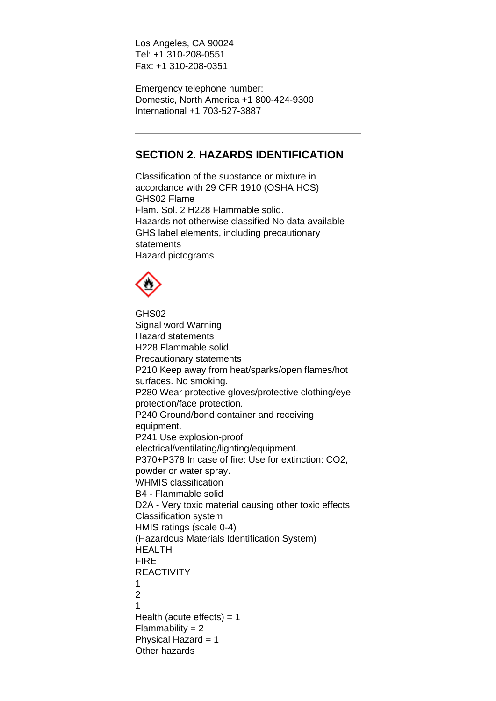Los Angeles, CA 90024 Tel: +1 310-208-0551 Fax: +1 310-208-0351

Emergency telephone number: Domestic, North America +1 800-424-9300 International +1 703-527-3887

# **SECTION 2. HAZARDS IDENTIFICATION**

Classification of the substance or mixture in accordance with 29 CFR 1910 (OSHA HCS) GHS02 Flame Flam. Sol. 2 H228 Flammable solid. Hazards not otherwise classified No data available GHS label elements, including precautionary statements Hazard pictograms



GHS02 Signal word Warning Hazard statements H228 Flammable solid. Precautionary statements P210 Keep away from heat/sparks/open flames/hot surfaces. No smoking. P280 Wear protective gloves/protective clothing/eye protection/face protection. P240 Ground/bond container and receiving equipment. P241 Use explosion-proof electrical/ventilating/lighting/equipment. P370+P378 In case of fire: Use for extinction: CO2, powder or water spray. WHMIS classification B4 - Flammable solid D2A - Very toxic material causing other toxic effects Classification system HMIS ratings (scale 0-4) (Hazardous Materials Identification System) HEALTH FIRE **REACTIVITY** 1  $\mathfrak{D}$ 1 Health (acute effects)  $= 1$  $Flammability = 2$ Physical Hazard = 1 Other hazards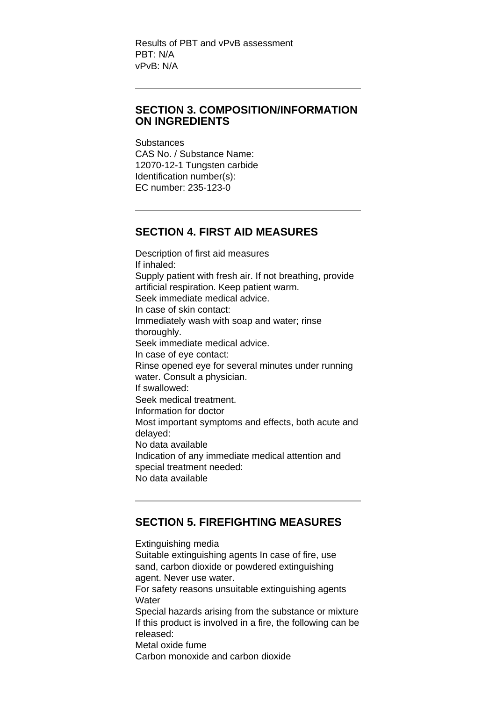Results of PBT and vPvB assessment PBT: N/A vPvB: N/A

#### **SECTION 3. COMPOSITION/INFORMATION ON INGREDIENTS**

**Substances** CAS No. / Substance Name: 12070-12-1 Tungsten carbide Identification number(s): EC number: 235-123-0

### **SECTION 4. FIRST AID MEASURES**

Description of first aid measures If inhaled: Supply patient with fresh air. If not breathing, provide artificial respiration. Keep patient warm. Seek immediate medical advice. In case of skin contact: Immediately wash with soap and water; rinse thoroughly. Seek immediate medical advice. In case of eye contact: Rinse opened eye for several minutes under running water. Consult a physician. If swallowed: Seek medical treatment. Information for doctor Most important symptoms and effects, both acute and delayed: No data available Indication of any immediate medical attention and special treatment needed: No data available

## **SECTION 5. FIREFIGHTING MEASURES**

Extinguishing media Suitable extinguishing agents In case of fire, use sand, carbon dioxide or powdered extinguishing agent. Never use water. For safety reasons unsuitable extinguishing agents **Water** Special hazards arising from the substance or mixture If this product is involved in a fire, the following can be released: Metal oxide fume Carbon monoxide and carbon dioxide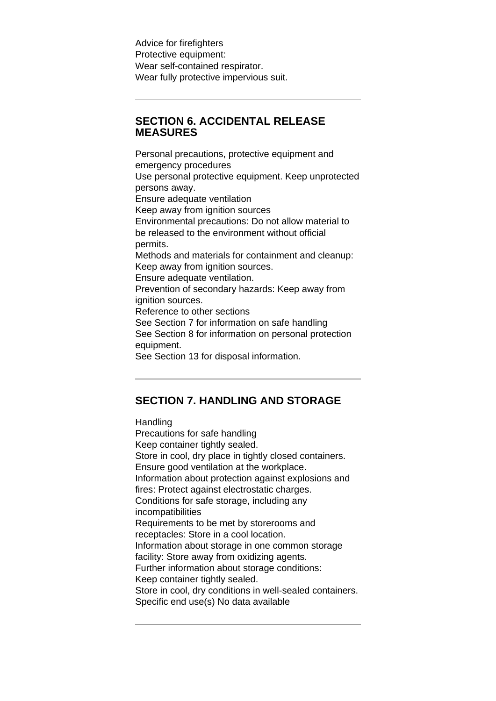Advice for firefighters Protective equipment: Wear self-contained respirator. Wear fully protective impervious suit.

## **SECTION 6. ACCIDENTAL RELEASE MEASURES**

Personal precautions, protective equipment and emergency procedures Use personal protective equipment. Keep unprotected persons away. Ensure adequate ventilation Keep away from ignition sources Environmental precautions: Do not allow material to be released to the environment without official permits. Methods and materials for containment and cleanup: Keep away from ignition sources. Ensure adequate ventilation. Prevention of secondary hazards: Keep away from ignition sources. Reference to other sections See Section 7 for information on safe handling See Section 8 for information on personal protection equipment. See Section 13 for disposal information.

## **SECTION 7. HANDLING AND STORAGE**

**Handling** 

Precautions for safe handling Keep container tightly sealed. Store in cool, dry place in tightly closed containers. Ensure good ventilation at the workplace. Information about protection against explosions and fires: Protect against electrostatic charges. Conditions for safe storage, including any incompatibilities Requirements to be met by storerooms and receptacles: Store in a cool location. Information about storage in one common storage facility: Store away from oxidizing agents. Further information about storage conditions: Keep container tightly sealed. Store in cool, dry conditions in well-sealed containers. Specific end use(s) No data available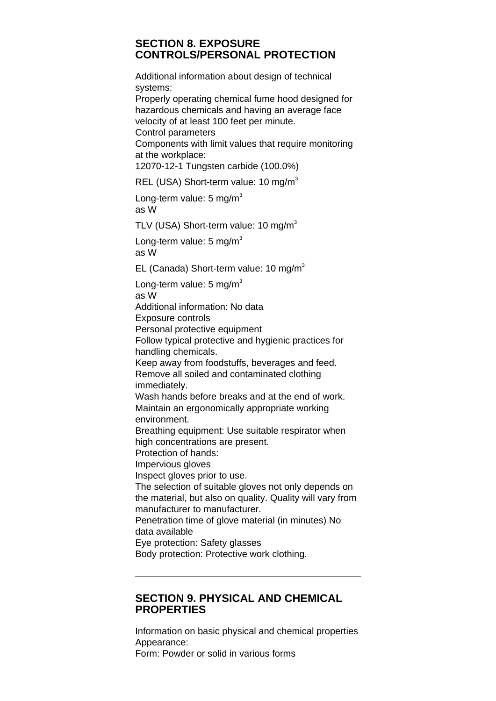#### **SECTION 8. EXPOSURE CONTROLS/PERSONAL PROTECTION**

Additional information about design of technical systems:

Properly operating chemical fume hood designed for hazardous chemicals and having an average face velocity of at least 100 feet per minute.

Control parameters

Components with limit values that require monitoring at the workplace:

12070-12-1 Tungsten carbide (100.0%)

REL (USA) Short-term value: 10 mg/m<sup>3</sup>

Long-term value:  $5 \text{ mg/m}^3$ as W

TLV (USA) Short-term value: 10 mg/m<sup>3</sup>

Long-term value:  $5 \text{ mg/m}^3$ as W

EL (Canada) Short-term value: 10 mg/m<sup>3</sup>

Long-term value:  $5 \text{ mg/m}^3$ 

as W

Additional information: No data

Exposure controls

Personal protective equipment

Follow typical protective and hygienic practices for handling chemicals.

Keep away from foodstuffs, beverages and feed. Remove all soiled and contaminated clothing immediately.

Wash hands before breaks and at the end of work. Maintain an ergonomically appropriate working environment.

Breathing equipment: Use suitable respirator when high concentrations are present.

Protection of hands:

Impervious gloves

Inspect gloves prior to use.

The selection of suitable gloves not only depends on the material, but also on quality. Quality will vary from manufacturer to manufacturer.

Penetration time of glove material (in minutes) No data available

Eye protection: Safety glasses

Body protection: Protective work clothing.

## **SECTION 9. PHYSICAL AND CHEMICAL PROPERTIES**

Information on basic physical and chemical properties Appearance: Form: Powder or solid in various forms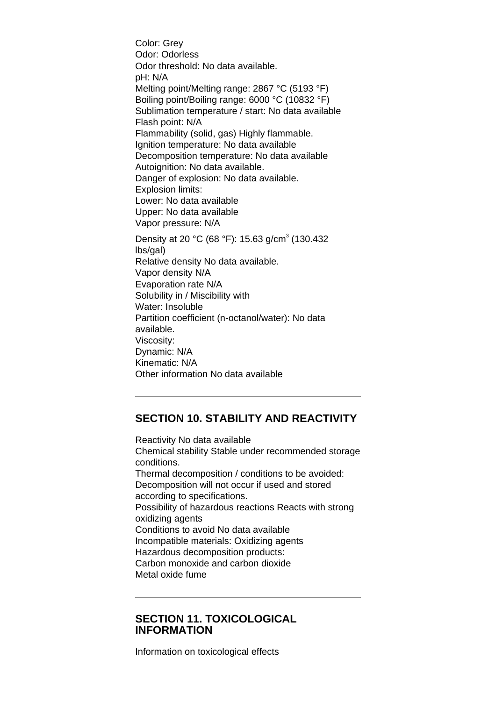Color: Grey Odor: Odorless Odor threshold: No data available. pH: N/A Melting point/Melting range: 2867 °C (5193 °F) Boiling point/Boiling range: 6000 °C (10832 °F) Sublimation temperature / start: No data available Flash point: N/A Flammability (solid, gas) Highly flammable. Ignition temperature: No data available Decomposition temperature: No data available Autoignition: No data available. Danger of explosion: No data available. Explosion limits: Lower: No data available Upper: No data available Vapor pressure: N/A Density at 20 °C (68 °F): 15.63 g/cm<sup>3</sup> (130.432 lbs/gal) Relative density No data available. Vapor density N/A Evaporation rate N/A Solubility in / Miscibility with Water: Insoluble Partition coefficient (n-octanol/water): No data available. Viscosity: Dynamic: N/A Kinematic: N/A Other information No data available

# **SECTION 10. STABILITY AND REACTIVITY**

Reactivity No data available Chemical stability Stable under recommended storage conditions. Thermal decomposition / conditions to be avoided: Decomposition will not occur if used and stored according to specifications. Possibility of hazardous reactions Reacts with strong oxidizing agents Conditions to avoid No data available Incompatible materials: Oxidizing agents Hazardous decomposition products: Carbon monoxide and carbon dioxide Metal oxide fume

#### **SECTION 11. TOXICOLOGICAL INFORMATION**

Information on toxicological effects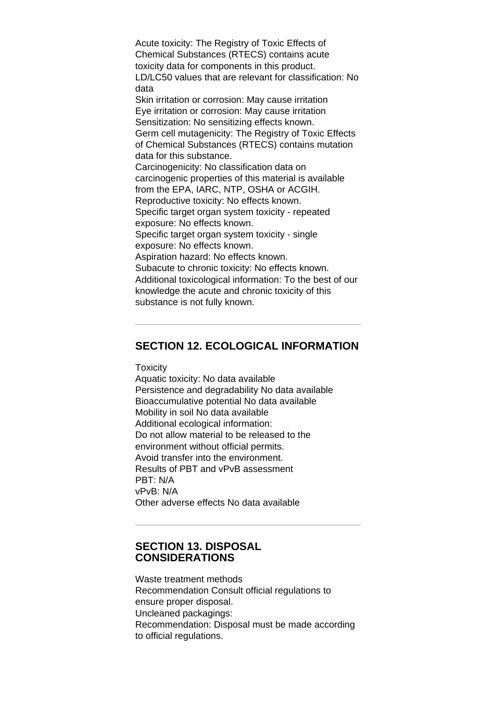Acute toxicity: The Registry of Toxic Effects of Chemical Substances (RTECS) contains acute toxicity data for components in this product. LD/LC50 values that are relevant for classification: No data Skin irritation or corrosion: May cause irritation Eye irritation or corrosion: May cause irritation Sensitization: No sensitizing effects known. Germ cell mutagenicity: The Registry of Toxic Effects of Chemical Substances (RTECS) contains mutation data for this substance. Carcinogenicity: No classification data on carcinogenic properties of this material is available from the EPA, IARC, NTP, OSHA or ACGIH. Reproductive toxicity: No effects known. Specific target organ system toxicity - repeated exposure: No effects known. Specific target organ system toxicity - single exposure: No effects known. Aspiration hazard: No effects known. Subacute to chronic toxicity: No effects known. Additional toxicological information: To the best of our knowledge the acute and chronic toxicity of this substance is not fully known.

## **SECTION 12. ECOLOGICAL INFORMATION**

**Toxicity** 

Aquatic toxicity: No data available Persistence and degradability No data available Bioaccumulative potential No data available Mobility in soil No data available Additional ecological information: Do not allow material to be released to the environment without official permits. Avoid transfer into the environment. Results of PBT and vPvB assessment PBT: N/A vPvB: N/A Other adverse effects No data available

#### **SECTION 13. DISPOSAL CONSIDERATIONS**

Waste treatment methods Recommendation Consult official regulations to ensure proper disposal. Uncleaned packagings: Recommendation: Disposal must be made according to official regulations.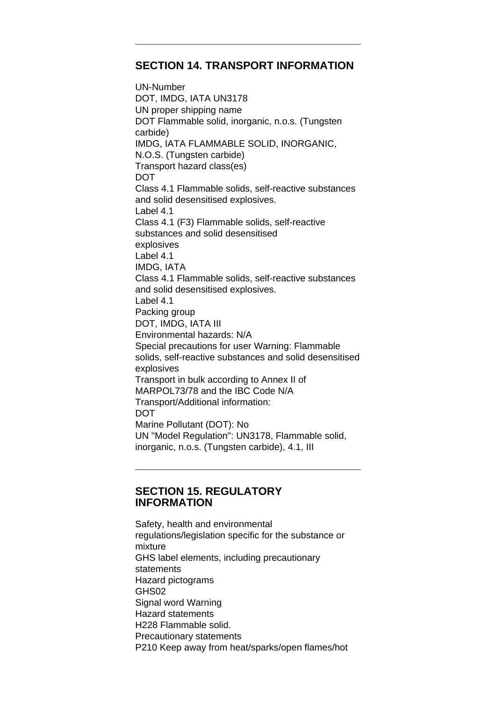#### **SECTION 14. TRANSPORT INFORMATION**

UN-Number DOT, IMDG, IATA UN3178 UN proper shipping name DOT Flammable solid, inorganic, n.o.s. (Tungsten carbide) IMDG, IATA FLAMMABLE SOLID, INORGANIC, N.O.S. (Tungsten carbide) Transport hazard class(es) DOT Class 4.1 Flammable solids, self-reactive substances and solid desensitised explosives. Label 4.1 Class 4.1 (F3) Flammable solids, self-reactive substances and solid desensitised explosives Label 4.1 IMDG, IATA Class 4.1 Flammable solids, self-reactive substances and solid desensitised explosives. Label 4.1 Packing group DOT, IMDG, IATA III Environmental hazards: N/A Special precautions for user Warning: Flammable solids, self-reactive substances and solid desensitised explosives Transport in bulk according to Annex II of MARPOL73/78 and the IBC Code N/A Transport/Additional information: DOT Marine Pollutant (DOT): No UN "Model Regulation": UN3178, Flammable solid, inorganic, n.o.s. (Tungsten carbide), 4.1, III

## **SECTION 15. REGULATORY INFORMATION**

Safety, health and environmental regulations/legislation specific for the substance or mixture GHS label elements, including precautionary statements Hazard pictograms GHS02 Signal word Warning Hazard statements H228 Flammable solid. Precautionary statements P210 Keep away from heat/sparks/open flames/hot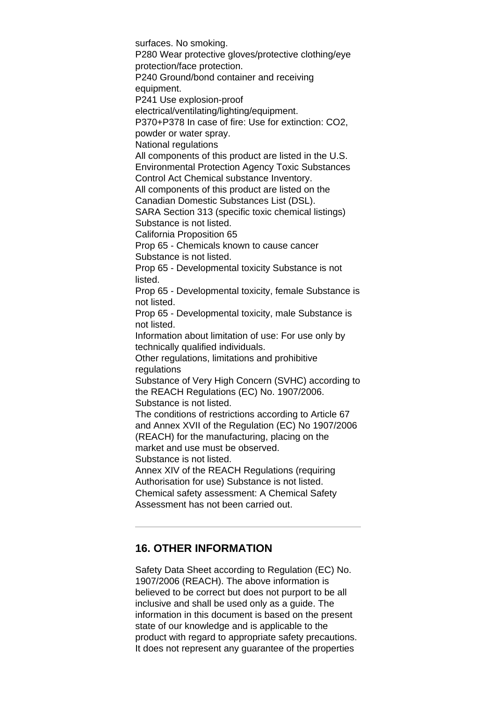surfaces. No smoking. P280 Wear protective gloves/protective clothing/eye protection/face protection. P240 Ground/bond container and receiving equipment. P241 Use explosion-proof electrical/ventilating/lighting/equipment. P370+P378 In case of fire: Use for extinction: CO2, powder or water spray. National regulations All components of this product are listed in the U.S. Environmental Protection Agency Toxic Substances Control Act Chemical substance Inventory. All components of this product are listed on the Canadian Domestic Substances List (DSL). SARA Section 313 (specific toxic chemical listings) Substance is not listed. California Proposition 65 Prop 65 - Chemicals known to cause cancer Substance is not listed. Prop 65 - Developmental toxicity Substance is not listed. Prop 65 - Developmental toxicity, female Substance is not listed. Prop 65 - Developmental toxicity, male Substance is not listed. Information about limitation of use: For use only by technically qualified individuals. Other regulations, limitations and prohibitive regulations Substance of Very High Concern (SVHC) according to the REACH Regulations (EC) No. 1907/2006. Substance is not listed. The conditions of restrictions according to Article 67 and Annex XVII of the Regulation (EC) No 1907/2006 (REACH) for the manufacturing, placing on the market and use must be observed. Substance is not listed. Annex XIV of the REACH Regulations (requiring Authorisation for use) Substance is not listed. Chemical safety assessment: A Chemical Safety Assessment has not been carried out.

#### **16. OTHER INFORMATION**

Safety Data Sheet according to Regulation (EC) No. 1907/2006 (REACH). The above information is believed to be correct but does not purport to be all inclusive and shall be used only as a guide. The information in this document is based on the present state of our knowledge and is applicable to the product with regard to appropriate safety precautions. It does not represent any guarantee of the properties